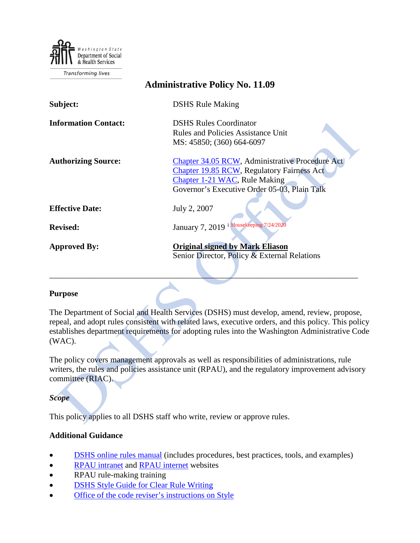

**Transforming lives** 

| <b>Administrative Policy No. 11.09</b> |                                                                                                                                                                                       |
|----------------------------------------|---------------------------------------------------------------------------------------------------------------------------------------------------------------------------------------|
| Subject:                               | <b>DSHS Rule Making</b>                                                                                                                                                               |
| <b>Information Contact:</b>            | <b>DSHS Rules Coordinator</b><br><b>Rules and Policies Assistance Unit</b><br>MS: 45850; (360) 664-6097                                                                               |
| <b>Authorizing Source:</b>             | Chapter 34.05 RCW, Administrative Procedure Act<br><b>Chapter 19.85 RCW, Regulatory Fairness Act</b><br>Chapter 1-21 WAC, Rule Making<br>Governor's Executive Order 05-03, Plain Talk |
| <b>Effective Date:</b>                 | July 2, 2007                                                                                                                                                                          |
| <b>Revised:</b>                        | January 7, 2019 i Housekeeping 7/24/2020                                                                                                                                              |
| <b>Approved By:</b>                    | <b>Original signed by Mark Eliason</b><br>Senior Director, Policy & External Relations                                                                                                |

#### **Purpose**

The Department of Social and Health Services (DSHS) must develop, amend, review, propose, repeal, and adopt rules consistent with related laws, executive orders, and this policy. This policy establishes department requirements for adopting rules into the Washington Administrative Code (WAC).

\_\_\_\_\_\_\_\_\_\_\_\_\_\_\_\_\_\_\_\_\_\_\_\_\_\_\_\_\_\_\_\_\_\_\_\_\_\_\_\_\_\_\_\_\_\_\_\_\_\_\_\_\_\_\_\_\_\_\_\_\_\_\_\_\_\_\_\_\_\_\_\_\_\_\_

The policy covers management approvals as well as responsibilities of administrations, rule writers, the rules and policies assistance unit (RPAU), and the regulatory improvement advisory committee (RIAC).

*Scope*

This policy applies to all DSHS staff who write, review or approve rules.

#### **Additional Guidance**

- [DSHS online rules manual](http://one.dshs.wa.lcl/RPAU/Pages/RulesManual.aspx) (includes procedures, best practices, tools, and examples)
- [RPAU intranet](http://one.dshs.wa.lcl/rpau/Pages/default.aspx) and [RPAU internet](https://www.dshs.wa.gov/office-of-the-secretary/filings-and-rulings) websites
- RPAU rule-making training
- [DSHS Style Guide for Clear Rule Writing](http://one.dshs.wa.lcl/RPAU/Training/StyleGuideForRuleWriting.pdf)
- [Office of the code reviser's instructions on Style](http://leg.wa.gov/CodeReviser/Documents/InstructionsOnStyle.pdf)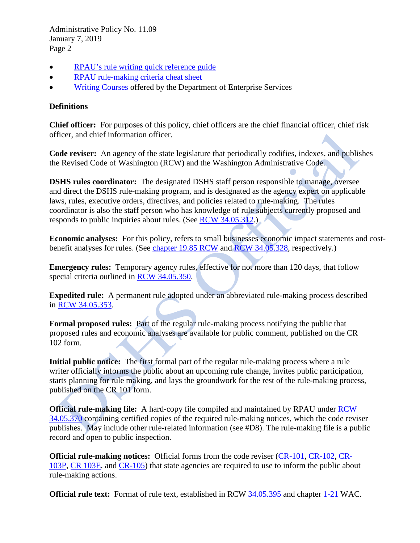Administrative Policy No. 11.09 January 7, 2019 Page 2

- [RPAU's rule writing quick reference guide](http://one.dshs.wa.lcl/RPAU/SharedDocuments/RPAUQuickReferenceGuide.pdf)
- [RPAU rule-making criteria cheat sheet](http://rpau.dshs.wa.lcl/RPAU-Manual/documents/DSHS%20Rulemaking%20Criteria%20Cheat%20Sheet.pdf)
- [Writing Courses](http://www.dop.wa.gov/training/TrainingProgram/ProfessionalDevelopment/Pages/WrittenCommunication.aspx) offered by the Department of Enterprise Services

# **Definitions**

**Chief officer:** For purposes of this policy, chief officers are the chief financial officer, chief risk officer, and chief information officer.

**Code reviser:** An agency of the state legislature that periodically codifies, indexes, and publishes the Revised Code of Washington (RCW) and the Washington Administrative Code.

**DSHS rules coordinator:** The designated DSHS staff person responsible to manage, oversee and direct the DSHS rule-making program, and is designated as the agency expert on applicable laws, rules, executive orders, directives, and policies related to rule-making. The rules coordinator is also the staff person who has knowledge of rule subjects currently proposed and responds to public inquiries about rules. (See [RCW 34.05.312.](http://apps.leg.wa.gov/RCW/default.aspx?cite=34.05.312))

**Economic analyses:** For this policy, refers to small businesses economic impact statements and costbenefit analyses for rules. (See [chapter 19.85 RCW](http://apps.leg.wa.gov/rcw/default.aspx?cite=19.85) and [RCW 34.05.328,](http://apps.leg.wa.gov/RCW/default.aspx?cite=34.05.328) respectively.)

**Emergency rules:** Temporary agency rules, effective for not more than 120 days, that follow special criteria outlined in [RCW 34.05.350.](http://apps.leg.wa.gov/RCW/default.aspx?cite=34.05.350)

**Expedited rule:** A permanent rule adopted under an abbreviated rule-making process described in [RCW 34.05.353.](http://apps.leg.wa.gov/RCW/default.aspx?cite=34.05.353)

**Formal proposed rules:** Part of the regular rule-making process notifying the public that proposed rules and economic analyses are available for public comment, published on the CR 102 form.

**Initial public notice:** The first formal part of the regular rule-making process where a rule writer officially informs the public about an upcoming rule change, invites public participation, starts planning for rule making, and lays the groundwork for the rest of the rule-making process, published on the CR 101 form.

**Official rule-making file:** A hard-copy file compiled and maintained by RPAU under [RCW](http://apps.leg.wa.gov/RCW/default.aspx?cite=34.05.370)  [34.05.370](http://apps.leg.wa.gov/RCW/default.aspx?cite=34.05.370) containing certified copies of the required rule-making notices, which the code reviser publishes. May include other rule-related information (see #D8). The rule-making file is a public record and open to public inspection.

**Official rule-making notices:** Official forms from the code reviser [\(CR-101,](http://rpau.dshs.wa.lcl/RPAU-Manual/RPAU_Manual-FORMS-CR-101_Intro.htm) [CR-102,](http://rpau.dshs.wa.lcl/RPAU-Manual/RPAU_Manual-FORMS-CR-102_Intro.htm) [CR-](http://rpau.dshs.wa.lcl/RPAU-Manual/RPAU_Manual-FORMS-CR-103_Intro.htm)[103P,](http://rpau.dshs.wa.lcl/RPAU-Manual/RPAU_Manual-FORMS-CR-103_Intro.htm) [CR 103E,](http://rpau.dshs.wa.lcl/RPAU-Manual/RPAU_Manual-FORMS-CR-103E_Intro.htm) and [CR-105\)](http://rpau.dshs.wa.lcl/RPAU-Manual/RPAU_Manual-FORMS-CR-105_Intro.htm) that state agencies are required to use to inform the public about rule-making actions.

**Official rule text:** Format of rule text, established in RCW [34.05.395](http://apps.leg.wa.gov/RCW/default.aspx?cite=34.05.395) and chapter [1-21](http://apps.leg.wa.gov/WAC/default.aspx?cite=1-21-080) WAC.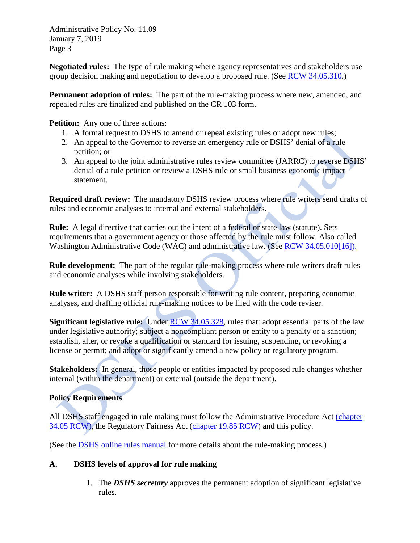Administrative Policy No. 11.09 January 7, 2019 Page 3

**Negotiated rules:** The type of rule making where agency representatives and stakeholders use group decision making and negotiation to develop a proposed rule. (See [RCW 34.05.310.](http://apps.leg.wa.gov/RCW/default.aspx?cite=34.05.310))

**Permanent adoption of rules:** The part of the rule-making process where new, amended, and repealed rules are finalized and published on the CR 103 form.

**Petition:** Any one of three actions:

- 1. A formal request to DSHS to amend or repeal existing rules or adopt new rules;
- 2. An appeal to the Governor to reverse an emergency rule or DSHS' denial of a rule petition; or
- 3. An appeal to the joint administrative rules review committee (JARRC) to reverse DSHS' denial of a rule petition or review a DSHS rule or small business economic impact statement.

**Required draft review:** The mandatory DSHS review process where rule writers send drafts of rules and economic analyses to internal and external stakeholders.

**Rule:** A legal directive that carries out the intent of a federal or state law (statute). Sets requirements that a government agency or those affected by the rule must follow. Also called Washington Administrative Code (WAC) and administrative law. (See [RCW 34.05.010\[16\]\).](http://apps.leg.wa.gov/RCW/default.aspx?cite=34.05.010)

**Rule development:** The part of the regular rule-making process where rule writers draft rules and economic analyses while involving stakeholders.

**Rule writer:** A DSHS staff person responsible for writing rule content, preparing economic analyses, and drafting official rule-making notices to be filed with the code reviser.

**Significant legislative rule:** Under [RCW 34.05.328,](http://apps.leg.wa.gov/RCW/default.aspx?cite=34.05.328) rules that: adopt essential parts of the law under legislative authority; subject a noncompliant person or entity to a penalty or a sanction; establish, alter, or revoke a qualification or standard for issuing, suspending, or revoking a license or permit; and adopt or significantly amend a new policy or regulatory program.

**Stakeholders:** In general, those people or entities impacted by proposed rule changes whether internal (within the department) or external (outside the department).

## **Policy Requirements**

All DSHS staff engaged in rule making must follow the Administrative Procedure Act [\(chapter](http://apps.leg.wa.gov/rcw/default.aspx?cite=34.05)  [34.05 RCW\),](http://apps.leg.wa.gov/rcw/default.aspx?cite=34.05) the Regulatory Fairness Act [\(chapter 19.85 RCW\)](http://apps.leg.wa.gov/rcw/default.aspx?cite=19.85) and this policy.

(See the [DSHS online rules manual](http://one.dshs.wa.lcl/RPAU/Pages/RulesManual.aspx) for more details about the rule-making process.)

## **A. DSHS levels of approval for rule making**

1. The *DSHS secretary* approves the permanent adoption of significant legislative rules.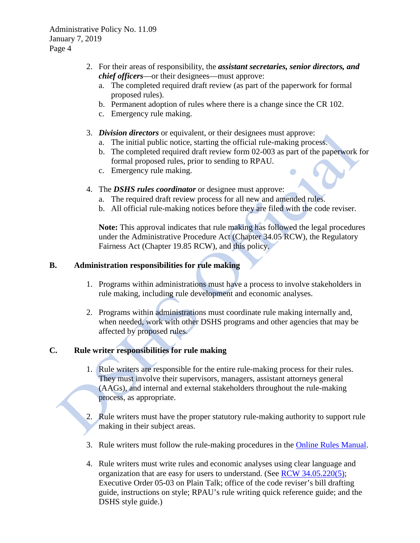- 2. For their areas of responsibility, the *assistant secretaries, senior directors, and chief officers*—or their designees—must approve:
	- a. The completed required draft review (as part of the paperwork for formal proposed rules).
	- b. Permanent adoption of rules where there is a change since the CR 102.
	- c. Emergency rule making.
- 3. *Division directors* or equivalent, or their designees must approve:
	- a. The initial public notice, starting the official rule-making process.
	- b. The completed required draft review form 02-003 as part of the paperwork for formal proposed rules, prior to sending to RPAU.
	- c. Emergency rule making.
- 4. The *DSHS rules coordinator* or designee must approve:
	- a. The required draft review process for all new and amended rules.
	- b. All official rule-making notices before they are filed with the code reviser.

**Note:** This approval indicates that rule making has followed the legal procedures under the Administrative Procedure Act (Chapter 34.05 RCW), the Regulatory Fairness Act (Chapter 19.85 RCW), and this policy.

#### **B. Administration responsibilities for rule making**

- 1. Programs within administrations must have a process to involve stakeholders in rule making, including rule development and economic analyses.
- 2. Programs within administrations must coordinate rule making internally and, when needed, work with other DSHS programs and other agencies that may be affected by proposed rules.

## **C. Rule writer responsibilities for rule making**

- 1. Rule writers are responsible for the entire rule-making process for their rules. They must involve their supervisors, managers, assistant attorneys general (AAGs), and internal and external stakeholders throughout the rule-making process, as appropriate.
- 2. Rule writers must have the proper statutory rule-making authority to support rule making in their subject areas.
- 3. Rule writers must follow the rule-making procedures in the [Online Rules Manual.](http://one.dshs.wa.lcl/RPAU/Pages/RulesManual.aspx)
- 4. Rule writers must write rules and economic analyses using clear language and organization that are easy for users to understand. (See [RCW 34.05.220\(5\);](http://apps.leg.wa.gov/RCW/default.aspx?cite=34.05.220) Executive Order 05-03 on Plain Talk; office of the code reviser's bill drafting guide, instructions on style; RPAU's rule writing quick reference guide; and the DSHS style guide.)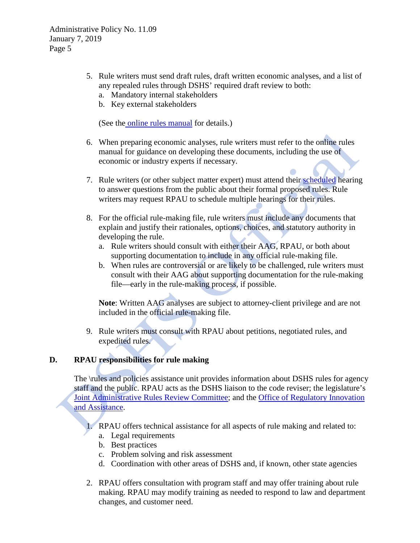- 5. Rule writers must send draft rules, draft written economic analyses, and a list of any repealed rules through DSHS' required draft review to both:
	- a. Mandatory internal stakeholders
	- b. Key external stakeholders

(See the online rules [manual](http://one.dshs.wa.lcl/RPAU/Pages/RulesManual.aspx) for details.)

- 6. When preparing economic analyses, rule writers must refer to the online rules manual for guidance on developing these documents, including the use of economic or industry experts if necessary.
- 7. Rule writers (or other subject matter expert) must attend their [scheduled](https://www.dshs.wa.gov/sesa/rpau/proposed-rules-and-public-hearings) hearing to answer questions from the public about their formal proposed rules. Rule writers may request RPAU to schedule multiple hearings for their rules.
- 8. For the official rule-making file, rule writers must include any documents that explain and justify their rationales, options, choices, and statutory authority in developing the rule.
	- a. Rule writers should consult with either their AAG, RPAU, or both about supporting documentation to include in any official rule-making file.
	- b. When rules are controversial or are likely to be challenged, rule writers must consult with their AAG about supporting documentation for the rule-making file—early in the rule-making process, if possible.

**Note**: Written AAG analyses are subject to attorney**-**client privilege and are not included in the official rule-making file.

9. Rule writers must consult with RPAU about petitions, negotiated rules, and expedited rules.

# **D. RPAU responsibilities for rule making**

The \rules and policies assistance unit provides information about DSHS rules for agency staff and the public. RPAU acts as the DSHS liaison to the code reviser; the legislature's [Joint Administrative Rules Review Committee;](http://leg.wa.gov/JointCommittees/JARRC/Pages/default.aspx) and the [Office of Regulatory Innovation](https://www.oria.wa.gov/site/alias__oria/368/default.aspx)  [and Assistance.](https://www.oria.wa.gov/site/alias__oria/368/default.aspx)

- 1. RPAU offers technical assistance for all aspects of rule making and related to:
	- a. Legal requirements
	- b. Best practices
	- c. Problem solving and risk assessment
	- d. Coordination with other areas of DSHS and, if known, other state agencies
- 2. RPAU offers consultation with program staff and may offer training about rule making. RPAU may modify training as needed to respond to law and department changes, and customer need.